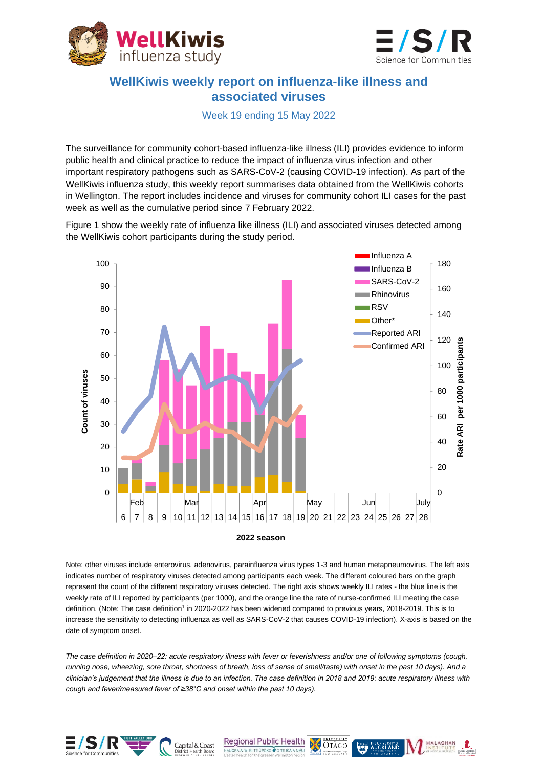



## **WellKiwis weekly report on influenza-like illness and associated viruses**

Week 19 ending 15 May 2022

The surveillance for community cohort-based influenza-like illness (ILI) provides evidence to inform public health and clinical practice to reduce the impact of influenza virus infection and other important respiratory pathogens such as SARS-CoV-2 (causing COVID-19 infection). As part of the WellKiwis influenza study, this weekly report summarises data obtained from the WellKiwis cohorts in Wellington. The report includes incidence and viruses for community cohort ILI cases for the past week as well as the cumulative period since 7 February 2022.

Figure 1 show the weekly rate of influenza like illness (ILI) and associated viruses detected among the WellKiwis cohort participants during the study period.



Note: other viruses include enterovirus, adenovirus, parainfluenza virus types 1-3 and human metapneumovirus. The left axis indicates number of respiratory viruses detected among participants each week. The different coloured bars on the graph represent the count of the different respiratory viruses detected. The right axis shows weekly ILI rates - the blue line is the weekly rate of ILI reported by participants (per 1000), and the orange line the rate of nurse-confirmed ILI meeting the case definition. (Note: The case definition<sup>1</sup> in 2020-2022 has been widened compared to previous years, 2018-2019. This is to increase the sensitivity to detecting influenza as well as SARS-CoV-2 that causes COVID-19 infection). X-axis is based on the date of symptom onset.

*The case definition in 2020–22: acute respiratory illness with fever or feverishness and/or one of following symptoms (cough, running nose, wheezing, sore throat, shortness of breath, loss of sense of smell/taste) with onset in the past 10 days). And a clinician's judgement that the illness is due to an infection. The case definition in 2018 and 2019: acute respiratory illness with cough and fever/measured fever of ≥38°C and onset within the past 10 days).*



Capital & Coast

**Regional Public Health**  $\overline{\overline{\text{Oraco}}}$ **RA Â IWI KI TE ÛPOKO Û O TE IKA A MÂU** 

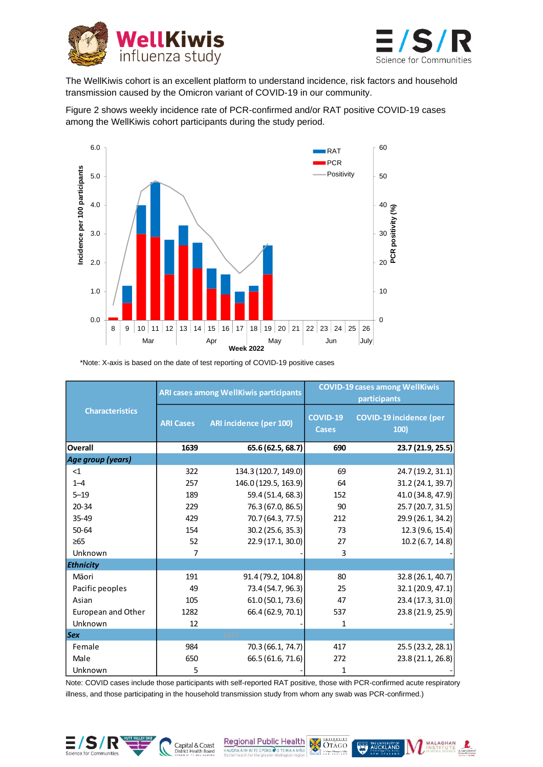



The WellKiwis cohort is an excellent platform to understand incidence, risk factors and household transmission caused by the Omicron variant of COVID-19 in our community.

Figure 2 shows weekly incidence rate of PCR-confirmed and/or RAT positive COVID-19 cases among the WellKiwis cohort participants during the study period.



 <sup>\*</sup>Note: X-axis is based on the date of test reporting of COVID-19 positive cases

| <b>Characteristics</b> | ARI cases among WellKiwis participants |                         | <b>COVID-19 cases among WellKiwis</b><br>participants |                                        |  |
|------------------------|----------------------------------------|-------------------------|-------------------------------------------------------|----------------------------------------|--|
|                        | <b>ARI Cases</b>                       | ARI incidence (per 100) | <b>COVID-19</b><br><b>Cases</b>                       | <b>COVID-19 incidence (per</b><br>100) |  |
| <b>Overall</b>         | 1639                                   | 65.6 (62.5, 68.7)       | 690                                                   | 23.7 (21.9, 25.5)                      |  |
| Age group (years)      |                                        |                         |                                                       |                                        |  |
| $\leq$ 1               | 322                                    | 134.3 (120.7, 149.0)    | 69                                                    | 24.7 (19.2, 31.1)                      |  |
| $1 - 4$                | 257                                    | 146.0 (129.5, 163.9)    | 64                                                    | 31.2 (24.1, 39.7)                      |  |
| $5 - 19$               | 189                                    | 59.4 (51.4, 68.3)       | 152                                                   | 41.0 (34.8, 47.9)                      |  |
| $20 - 34$              | 229                                    | 76.3 (67.0, 86.5)       | 90                                                    | 25.7 (20.7, 31.5)                      |  |
| $35 - 49$              | 429                                    | 70.7 (64.3, 77.5)       | 212                                                   | 29.9 (26.1, 34.2)                      |  |
| $50 - 64$              | 154                                    | 30.2 (25.6, 35.3)       | 73                                                    | 12.3 (9.6, 15.4)                       |  |
| $\geq 65$              | 52                                     | 22.9 (17.1, 30.0)       | 27                                                    | 10.2(6.7, 14.8)                        |  |
| Unknown                | $\overline{7}$                         |                         | 3                                                     |                                        |  |
| <b>Ethnicity</b>       |                                        |                         |                                                       |                                        |  |
| Māori                  | 191                                    | 91.4 (79.2, 104.8)      | 80                                                    | 32.8(26.1, 40.7)                       |  |
| Pacific peoples        | 49                                     | 73.4 (54.7, 96.3)       | 25                                                    | 32.1 (20.9, 47.1)                      |  |
| Asian                  | 105                                    | 61.0 (50.1, 73.6)       | 47                                                    | 23.4 (17.3, 31.0)                      |  |
| European and Other     | 1282                                   | 66.4 (62.9, 70.1)       | 537                                                   | 23.8 (21.9, 25.9)                      |  |
| Unknown                | 12                                     |                         | 1                                                     |                                        |  |
| <b>Sex</b>             |                                        | 1627                    |                                                       |                                        |  |
| Female                 | 984                                    | 70.3 (66.1, 74.7)       | 417                                                   | 25.5(23.2, 28.1)                       |  |
| Male                   | 650                                    | 66.5 (61.6, 71.6)       | 272                                                   | 23.8 (21.1, 26.8)                      |  |
| Unknown                | 5                                      |                         | 1                                                     |                                        |  |

Note: COVID cases include those participants with self-reported RAT positive, those with PCR-confirmed acute respiratory illness, and those participating in the household transmission study from whom any swab was PCR-confirmed.)



Regional Public Health DES OTAGO HAUORA Â IWI KI TE ŪPOKO O O TE IKA A MÂUI

Capital & Coast



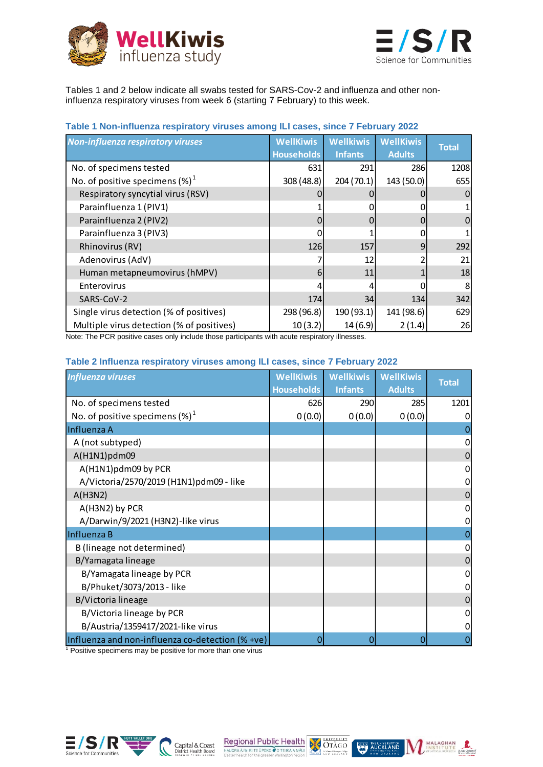



Tables 1 and 2 below indicate all swabs tested for SARS-Cov-2 and influenza and other noninfluenza respiratory viruses from week 6 (starting 7 February) to this week.

## **Table 1 Non-influenza respiratory viruses among ILI cases, since 7 February 2022**

| <b>Non-influenza respiratory viruses</b>  | <b>WellKiwis</b>  | <b>Wellkiwis</b> | <b>WellKiwis</b> | <b>Total</b> |
|-------------------------------------------|-------------------|------------------|------------------|--------------|
|                                           | <b>Households</b> | <b>Infants</b>   | <b>Adults</b>    |              |
| No. of specimens tested                   | 631               | 291              | 286              | 1208         |
| No. of positive specimens $(\%)^1$        | 308 (48.8)        | 204(70.1)        | 143 (50.0)       | 655          |
| Respiratory syncytial virus (RSV)         |                   |                  |                  | 0            |
| Parainfluenza 1 (PIV1)                    |                   |                  |                  |              |
| Parainfluenza 2 (PIV2)                    |                   | 0                |                  | 0            |
| Parainfluenza 3 (PIV3)                    |                   |                  |                  |              |
| Rhinovirus (RV)                           | <b>126</b>        | 157              | 9                | 292          |
| Adenovirus (AdV)                          |                   | 12               |                  | 21           |
| Human metapneumovirus (hMPV)              | 6                 | 11               |                  | 18           |
| Enterovirus                               |                   | 4                |                  | 8            |
| SARS-CoV-2                                | 174               | 34               | 134              | 342          |
| Single virus detection (% of positives)   | 298 (96.8)        | 190(93.1)        | 141 (98.6)       | 629          |
| Multiple virus detection (% of positives) | 10(3.2)           | 14(6.9)          | 2(1.4)           | 26           |

Note: The PCR positive cases only include those participants with acute respiratory illnesses.

## **Table 2 Influenza respiratory viruses among ILI cases, since 7 February 2022**

| <b>Influenza viruses</b>                         | <b>WellKiwis</b><br><b>Households</b> | <b>Wellkiwis</b><br><b>Infants</b> | <b>WellKiwis</b><br><b>Adults</b> | <b>Total</b> |
|--------------------------------------------------|---------------------------------------|------------------------------------|-----------------------------------|--------------|
| No. of specimens tested                          | 626                                   | 290                                | 285                               | 1201         |
| No. of positive specimens $(\%)^1$               | 0(0.0)                                | 0(0.0)                             | 0(0.0)                            | 0            |
| Influenza A                                      |                                       |                                    |                                   |              |
| A (not subtyped)                                 |                                       |                                    |                                   | 0            |
| A(H1N1)pdm09                                     |                                       |                                    |                                   | 0            |
| A(H1N1)pdm09 by PCR                              |                                       |                                    |                                   | 0            |
| A/Victoria/2570/2019 (H1N1)pdm09 - like          |                                       |                                    |                                   | 0            |
| A(H3N2)                                          |                                       |                                    |                                   | 0            |
| A(H3N2) by PCR                                   |                                       |                                    |                                   | 0            |
| A/Darwin/9/2021 (H3N2)-like virus                |                                       |                                    |                                   | 0            |
| Influenza B                                      |                                       |                                    |                                   |              |
| B (lineage not determined)                       |                                       |                                    |                                   | 0            |
| B/Yamagata lineage                               |                                       |                                    |                                   | 0            |
| B/Yamagata lineage by PCR                        |                                       |                                    |                                   | 0            |
| B/Phuket/3073/2013 - like                        |                                       |                                    |                                   | 0            |
| <b>B/Victoria lineage</b>                        |                                       |                                    |                                   | 0            |
| B/Victoria lineage by PCR                        |                                       |                                    |                                   | 0            |
| B/Austria/1359417/2021-like virus                |                                       |                                    |                                   | 0            |
| Influenza and non-influenza co-detection (% +ve) | 0                                     | 0                                  | 0                                 |              |

Positive specimens may be positive for more than one virus



Regional Public Health<br>
HAUGRA AWIKITE DOKO O TEIKA AMAU OTAGO Capital & Coast



MALAGHAN R